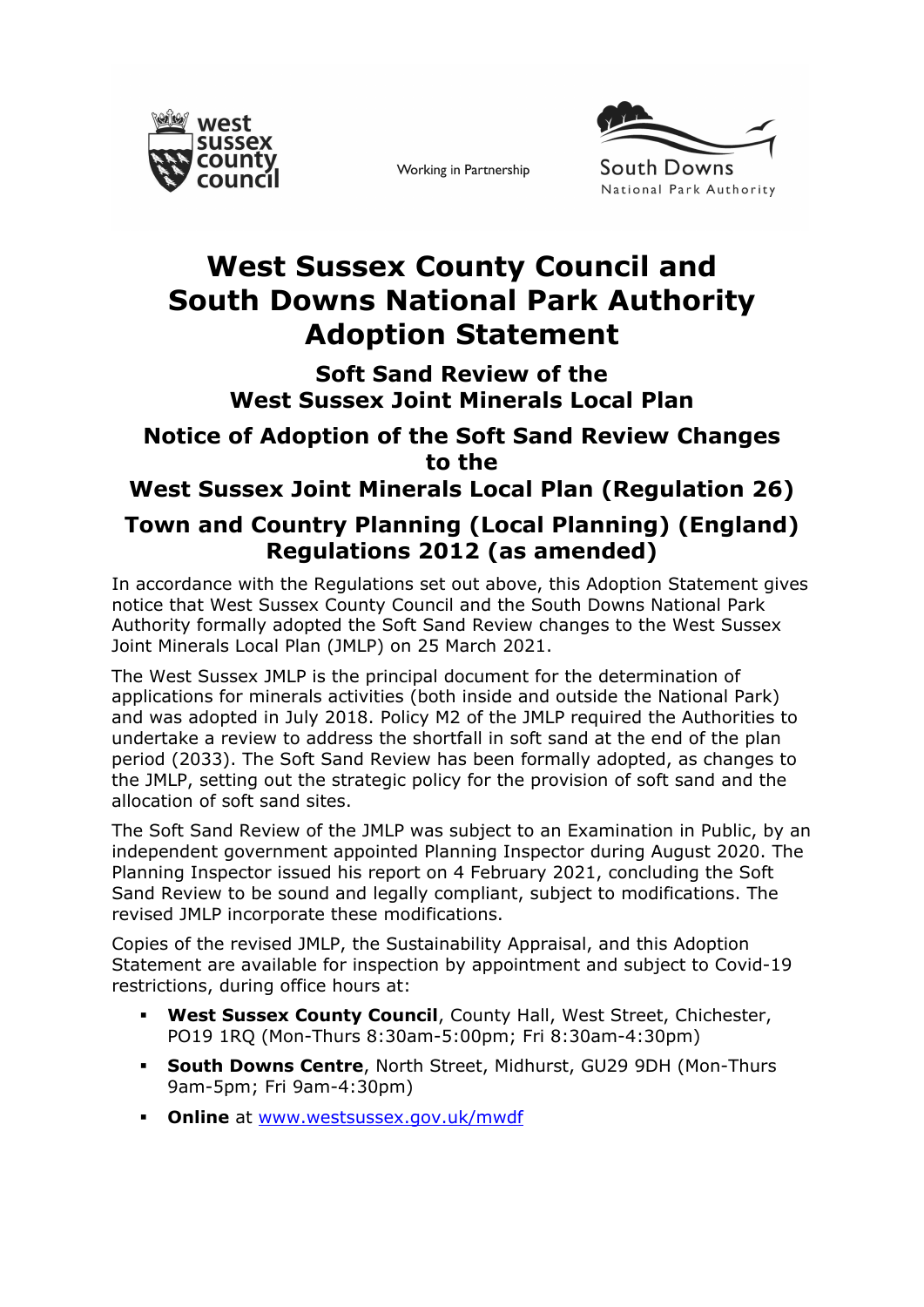

Working in Partnership



## **West Sussex County Council and South Downs National Park Authority Adoption Statement**

**Soft Sand Review of the West Sussex Joint Minerals Local Plan**

## **Notice of Adoption of the Soft Sand Review Changes to the**

**West Sussex Joint Minerals Local Plan (Regulation 26)**

## **Town and Country Planning (Local Planning) (England) Regulations 2012 (as amended)**

In accordance with the Regulations set out above, this Adoption Statement gives notice that West Sussex County Council and the South Downs National Park Authority formally adopted the Soft Sand Review changes to the West Sussex Joint Minerals Local Plan (JMLP) on 25 March 2021.

The West Sussex JMLP is the principal document for the determination of applications for minerals activities (both inside and outside the National Park) and was adopted in July 2018. Policy M2 of the JMLP required the Authorities to undertake a review to address the shortfall in soft sand at the end of the plan period (2033). The Soft Sand Review has been formally adopted, as changes to the JMLP, setting out the strategic policy for the provision of soft sand and the allocation of soft sand sites.

The Soft Sand Review of the JMLP was subject to an Examination in Public, by an independent government appointed Planning Inspector during August 2020. The Planning Inspector issued his report on 4 February 2021, concluding the Soft Sand Review to be sound and legally compliant, subject to modifications. The revised JMLP incorporate these modifications.

Copies of the revised JMLP, the Sustainability Appraisal, and this Adoption Statement are available for inspection by appointment and subject to Covid-19 restrictions, during office hours at:

- **West Sussex County Council**, County Hall, West Street, Chichester, PO19 1RQ (Mon-Thurs 8:30am-5:00pm; Fri 8:30am-4:30pm)
- **South Downs Centre**, North Street, Midhurst, GU29 9DH (Mon-Thurs 9am-5pm; Fri 9am-4:30pm)
- **Online** at [www.westsussex.gov.uk/mwdf](https://www.westsussex.gov.uk/mwdf)